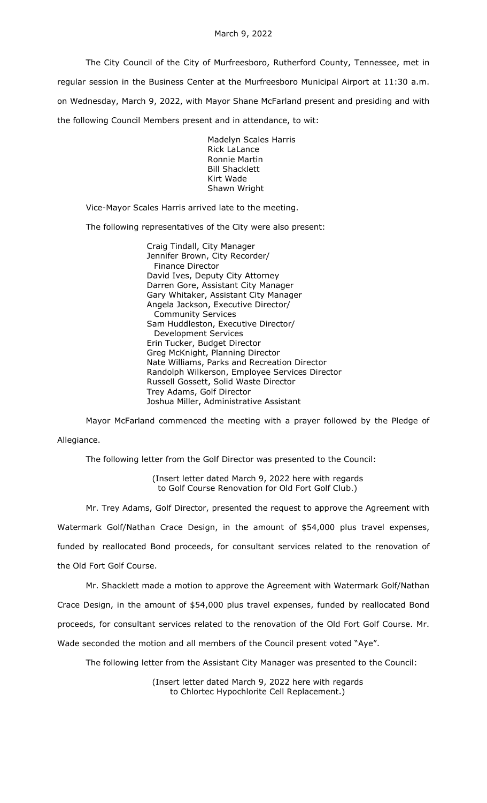The City Council of the City of Murfreesboro, Rutherford County, Tennessee, met in regular session in the Business Center at the Murfreesboro Municipal Airport at 11:30 a.m. on Wednesday, March 9, 2022, with Mayor Shane McFarland present and presiding and with the following Council Members present and in attendance, to wit:

> Madelyn Scales Harris Rick LaLance Ronnie Martin Bill Shacklett Kirt Wade Shawn Wright

Vice-Mayor Scales Harris arrived late to the meeting.

The following representatives of the City were also present:

Craig Tindall, City Manager Jennifer Brown, City Recorder/ Finance Director David Ives, Deputy City Attorney Darren Gore, Assistant City Manager Gary Whitaker, Assistant City Manager Angela Jackson, Executive Director/ Community Services Sam Huddleston, Executive Director/ Development Services Erin Tucker, Budget Director Greg McKnight, Planning Director Nate Williams, Parks and Recreation Director Randolph Wilkerson, Employee Services Director Russell Gossett, Solid Waste Director Trey Adams, Golf Director Joshua Miller, Administrative Assistant

Mayor McFarland commenced the meeting with a prayer followed by the Pledge of Allegiance.

The following letter from the Golf Director was presented to the Council:

(Insert letter dated March 9, 2022 here with regards to Golf Course Renovation for Old Fort Golf Club.)

Mr. Trey Adams, Golf Director, presented the request to approve the Agreement with Watermark Golf/Nathan Crace Design, in the amount of \$54,000 plus travel expenses, funded by reallocated Bond proceeds, for consultant services related to the renovation of the Old Fort Golf Course.

Mr. Shacklett made a motion to approve the Agreement with Watermark Golf/Nathan Crace Design, in the amount of \$54,000 plus travel expenses, funded by reallocated Bond proceeds, for consultant services related to the renovation of the Old Fort Golf Course. Mr. Wade seconded the motion and all members of the Council present voted "Aye".

The following letter from the Assistant City Manager was presented to the Council:

(Insert letter dated March 9, 2022 here with regards to Chlortec Hypochlorite Cell Replacement.)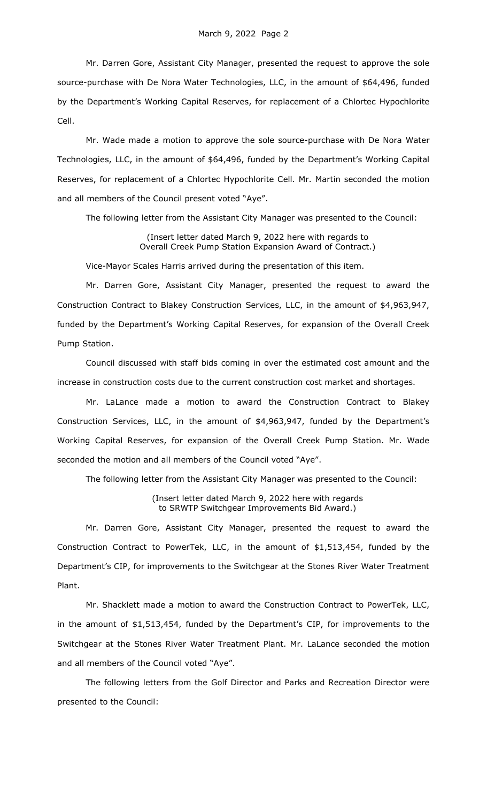Mr. Darren Gore, Assistant City Manager, presented the request to approve the sole source-purchase with De Nora Water Technologies, LLC, in the amount of \$64,496, funded by the Department's Working Capital Reserves, for replacement of a Chlortec Hypochlorite Cell.

Mr. Wade made a motion to approve the sole source-purchase with De Nora Water Technologies, LLC, in the amount of \$64,496, funded by the Department's Working Capital Reserves, for replacement of a Chlortec Hypochlorite Cell. Mr. Martin seconded the motion and all members of the Council present voted "Aye".

The following letter from the Assistant City Manager was presented to the Council:

(Insert letter dated March 9, 2022 here with regards to Overall Creek Pump Station Expansion Award of Contract.)

Vice-Mayor Scales Harris arrived during the presentation of this item.

Mr. Darren Gore, Assistant City Manager, presented the request to award the Construction Contract to Blakey Construction Services, LLC, in the amount of \$4,963,947, funded by the Department's Working Capital Reserves, for expansion of the Overall Creek Pump Station.

Council discussed with staff bids coming in over the estimated cost amount and the increase in construction costs due to the current construction cost market and shortages.

Mr. LaLance made a motion to award the Construction Contract to Blakey Construction Services, LLC, in the amount of \$4,963,947, funded by the Department's Working Capital Reserves, for expansion of the Overall Creek Pump Station. Mr. Wade seconded the motion and all members of the Council voted "Aye".

The following letter from the Assistant City Manager was presented to the Council:

(Insert letter dated March 9, 2022 here with regards to SRWTP Switchgear Improvements Bid Award.)

Mr. Darren Gore, Assistant City Manager, presented the request to award the Construction Contract to PowerTek, LLC, in the amount of \$1,513,454, funded by the Department's CIP, for improvements to the Switchgear at the Stones River Water Treatment Plant.

Mr. Shacklett made a motion to award the Construction Contract to PowerTek, LLC, in the amount of \$1,513,454, funded by the Department's CIP, for improvements to the Switchgear at the Stones River Water Treatment Plant. Mr. LaLance seconded the motion and all members of the Council voted "Aye".

The following letters from the Golf Director and Parks and Recreation Director were presented to the Council: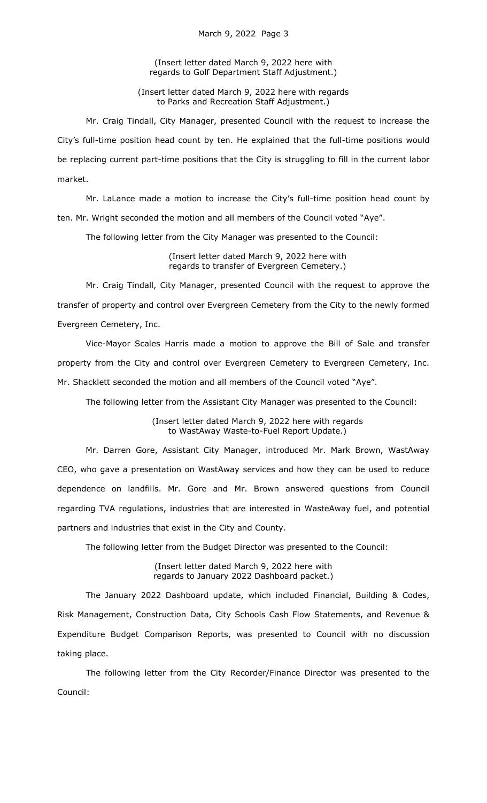(Insert letter dated March 9, 2022 here with regards to Golf Department Staff Adjustment.)

(Insert letter dated March 9, 2022 here with regards to Parks and Recreation Staff Adjustment.)

Mr. Craig Tindall, City Manager, presented Council with the request to increase the City's full-time position head count by ten. He explained that the full-time positions would be replacing current part-time positions that the City is struggling to fill in the current labor market.

Mr. LaLance made a motion to increase the City's full-time position head count by ten. Mr. Wright seconded the motion and all members of the Council voted "Aye".

The following letter from the City Manager was presented to the Council:

(Insert letter dated March 9, 2022 here with regards to transfer of Evergreen Cemetery.)

Mr. Craig Tindall, City Manager, presented Council with the request to approve the transfer of property and control over Evergreen Cemetery from the City to the newly formed Evergreen Cemetery, Inc.

Vice-Mayor Scales Harris made a motion to approve the Bill of Sale and transfer property from the City and control over Evergreen Cemetery to Evergreen Cemetery, Inc. Mr. Shacklett seconded the motion and all members of the Council voted "Aye".

The following letter from the Assistant City Manager was presented to the Council:

(Insert letter dated March 9, 2022 here with regards to WastAway Waste-to-Fuel Report Update.)

Mr. Darren Gore, Assistant City Manager, introduced Mr. Mark Brown, WastAway CEO, who gave a presentation on WastAway services and how they can be used to reduce dependence on landfills. Mr. Gore and Mr. Brown answered questions from Council regarding TVA regulations, industries that are interested in WasteAway fuel, and potential partners and industries that exist in the City and County.

The following letter from the Budget Director was presented to the Council:

(Insert letter dated March 9, 2022 here with regards to January 2022 Dashboard packet.)

The January 2022 Dashboard update, which included Financial, Building & Codes, Risk Management, Construction Data, City Schools Cash Flow Statements, and Revenue & Expenditure Budget Comparison Reports, was presented to Council with no discussion taking place.

The following letter from the City Recorder/Finance Director was presented to the Council: